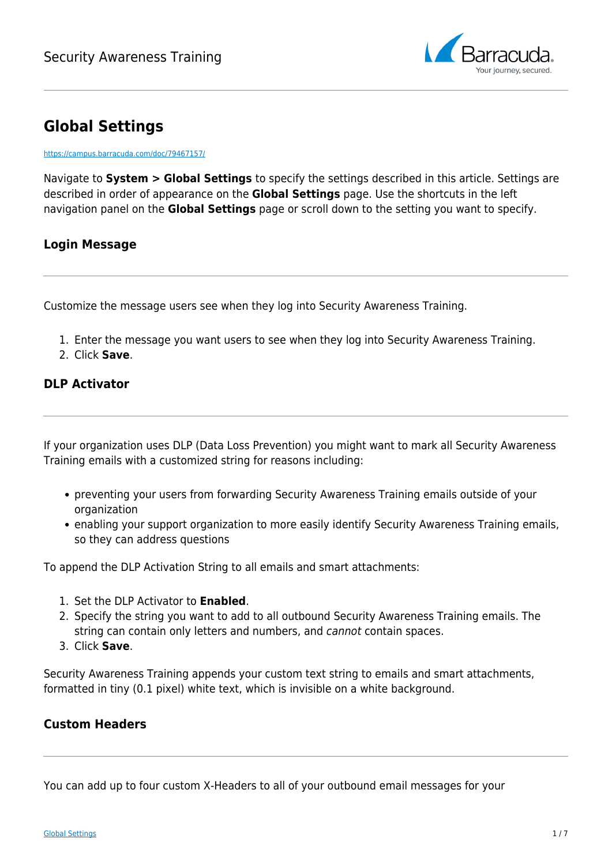

# **Global Settings**

<https://campus.barracuda.com/doc/79467157/>

Navigate to **System > Global Settings** to specify the settings described in this article. Settings are described in order of appearance on the **Global Settings** page. Use the shortcuts in the left navigation panel on the **Global Settings** page or scroll down to the setting you want to specify.

## **Login Message**

Customize the message users see when they log into Security Awareness Training.

- 1. Enter the message you want users to see when they log into Security Awareness Training.
- 2. Click **Save**.

## **DLP Activator**

If your organization uses DLP (Data Loss Prevention) you might want to mark all Security Awareness Training emails with a customized string for reasons including:

- preventing your users from forwarding Security Awareness Training emails outside of your organization
- enabling your support organization to more easily identify Security Awareness Training emails, so they can address questions

To append the DLP Activation String to all emails and smart attachments:

- 1. Set the DLP Activator to **Enabled**.
- 2. Specify the string you want to add to all outbound Security Awareness Training emails. The string can contain only letters and numbers, and cannot contain spaces.
- 3. Click **Save**.

Security Awareness Training appends your custom text string to emails and smart attachments, formatted in tiny (0.1 pixel) white text, which is invisible on a white background.

#### **Custom Headers**

You can add up to four custom X-Headers to all of your outbound email messages for your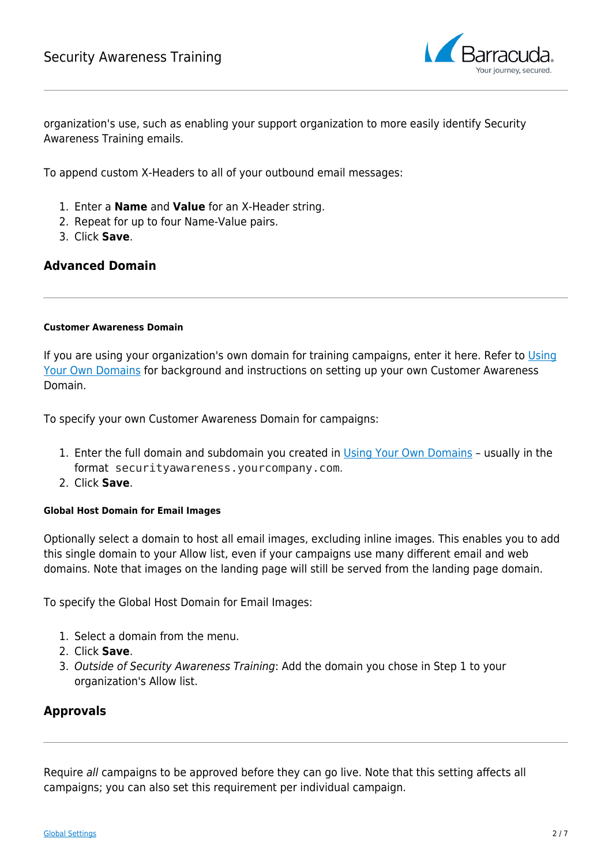

organization's use, such as enabling your support organization to more easily identify Security Awareness Training emails.

To append custom X-Headers to all of your outbound email messages:

- 1. Enter a **Name** and **Value** for an X-Header string.
- 2. Repeat for up to four Name-Value pairs.
- 3. Click **Save**.

## **Advanced Domain**

#### **Customer Awareness Domain**

If you are using your organization's own domain for training campaigns, enter it here. Refer to [Using](http://campus.barracuda.com/doc/86541426/) [Your Own Domains](http://campus.barracuda.com/doc/86541426/) for background and instructions on setting up your own Customer Awareness Domain.

To specify your own Customer Awareness Domain for campaigns:

- 1. Enter the full domain and subdomain you created in [Using Your Own Domains](http://campus.barracuda.com/doc/86541426/)  usually in the format securityawareness.yourcompany.com.
- 2. Click **Save**.

#### **Global Host Domain for Email Images**

Optionally select a domain to host all email images, excluding inline images. This enables you to add this single domain to your Allow list, even if your campaigns use many different email and web domains. Note that images on the landing page will still be served from the landing page domain.

To specify the Global Host Domain for Email Images:

- 1. Select a domain from the menu.
- 2. Click **Save**.
- 3. Outside of Security Awareness Training: Add the domain you chose in Step 1 to your organization's Allow list.

## **Approvals**

Require all campaigns to be approved before they can go live. Note that this setting affects all campaigns; you can also set this requirement per individual campaign.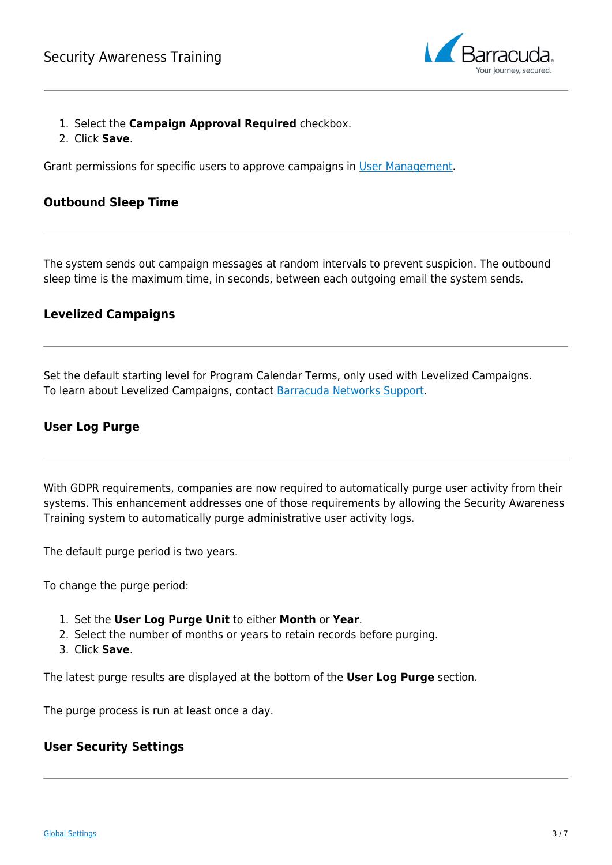

- 1. Select the **Campaign Approval Required** checkbox.
- 2. Click **Save**.

Grant permissions for specific users to approve campaigns in [User Management](http://campus.barracuda.com/doc/79466725/).

#### **Outbound Sleep Time**

The system sends out campaign messages at random intervals to prevent suspicion. The outbound sleep time is the maximum time, in seconds, between each outgoing email the system sends.

## **Levelized Campaigns**

Set the default starting level for Program Calendar Terms, only used with Levelized Campaigns. To learn about Levelized Campaigns, contact [Barracuda Networks Support](https://www.barracuda.com/support/index).

## **User Log Purge**

With GDPR requirements, companies are now required to automatically purge user activity from their systems. This enhancement addresses one of those requirements by allowing the Security Awareness Training system to automatically purge administrative user activity logs.

The default purge period is two years.

To change the purge period:

- 1. Set the **User Log Purge Unit** to either **Month** or **Year**.
- 2. Select the number of months or years to retain records before purging.
- 3. Click **Save**.

The latest purge results are displayed at the bottom of the **User Log Purge** section.

The purge process is run at least once a day.

#### **User Security Settings**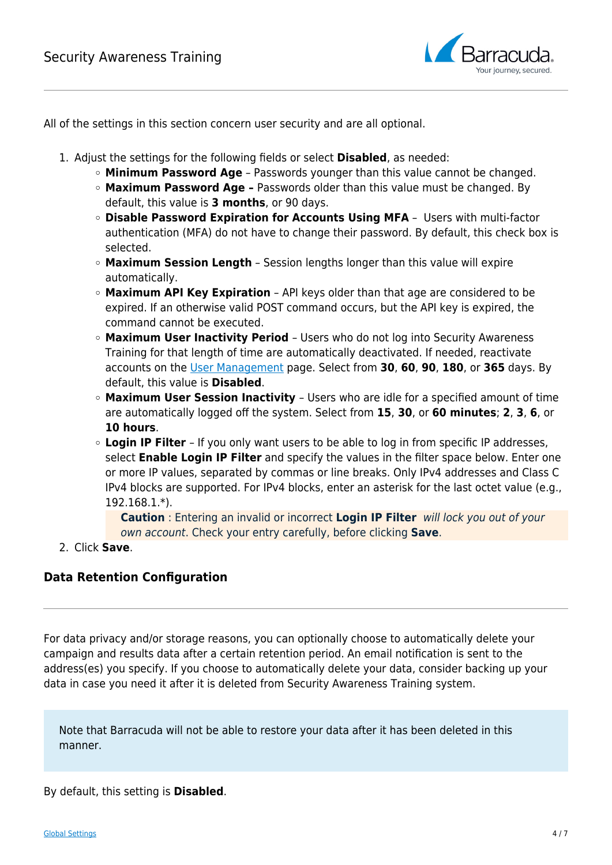

All of the settings in this section concern user security and are all optional.

- 1. Adjust the settings for the following fields or select **Disabled**, as needed:
	- **Minimum Password Age** Passwords younger than this value cannot be changed.
	- **Maximum Password Age** Passwords older than this value must be changed. By default, this value is **3 months**, or 90 days.
	- **Disable Password Expiration for Accounts Using MFA** Users with multi-factor authentication (MFA) do not have to change their password. By default, this check box is selected.
	- **Maximum Session Length** Session lengths longer than this value will expire automatically.
	- **Maximum API Key Expiration** API keys older than that age are considered to be expired. If an otherwise valid POST command occurs, but the API key is expired, the command cannot be executed.
	- **Maximum User Inactivity Period**  Users who do not log into Security Awareness Training for that length of time are automatically deactivated. If needed, reactivate accounts on the [User Management](http://campus.barracuda.com/doc/79466725/) page. Select from **30**, **60**, **90**, **180**, or **365** days. By default, this value is **Disabled**.
	- **Maximum User Session Inactivity**  Users who are idle for a specified amount of time are automatically logged off the system. Select from **15**, **30**, or **60 minutes**; **2**, **3**, **6**, or **10 hours**.
	- **Login IP Filter**  If you only want users to be able to log in from specific IP addresses, select **Enable Login IP Filter** and specify the values in the filter space below. Enter one or more IP values, separated by commas or line breaks. Only IPv4 addresses and Class C IPv4 blocks are supported. For IPv4 blocks, enter an asterisk for the last octet value (e.g., 192.168.1.\*).

**Caution** : Entering an invalid or incorrect **Login IP Filter** will lock you out of your own account. Check your entry carefully, before clicking **Save**.

2. Click **Save**.

## **Data Retention Configuration**

For data privacy and/or storage reasons, you can optionally choose to automatically delete your campaign and results data after a certain retention period. An email notification is sent to the address(es) you specify. If you choose to automatically delete your data, consider backing up your data in case you need it after it is deleted from Security Awareness Training system.

Note that Barracuda will not be able to restore your data after it has been deleted in this manner.

By default, this setting is **Disabled**.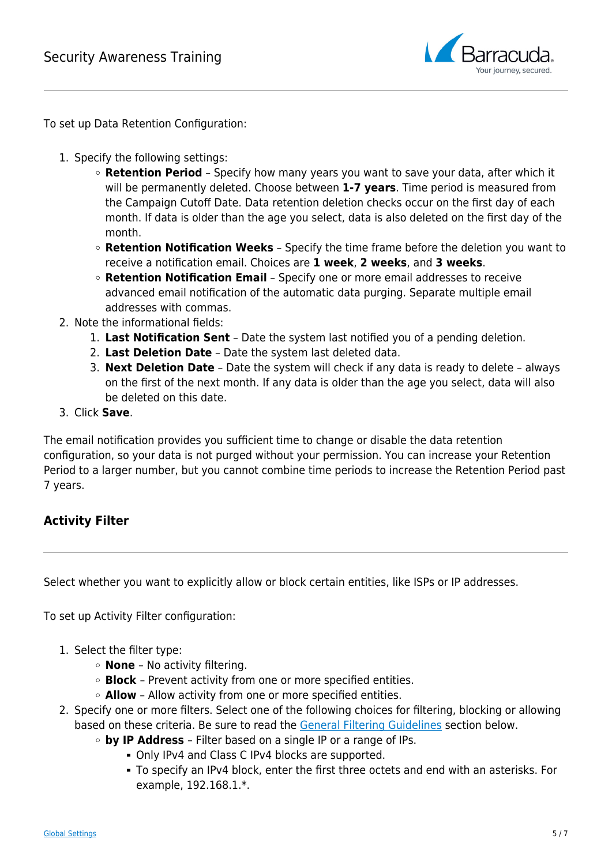

To set up Data Retention Configuration:

- 1. Specify the following settings:
	- **Retention Period** Specify how many years you want to save your data, after which it will be permanently deleted. Choose between **1-7 years**. Time period is measured from the Campaign Cutoff Date. Data retention deletion checks occur on the first day of each month. If data is older than the age you select, data is also deleted on the first day of the month.
	- **Retention Notification Weeks** Specify the time frame before the deletion you want to receive a notification email. Choices are **1 week**, **2 weeks**, and **3 weeks**.
	- **Retention Notification Email** Specify one or more email addresses to receive advanced email notification of the automatic data purging. Separate multiple email addresses with commas.
- 2. Note the informational fields:
	- 1. **Last Notification Sent** Date the system last notified you of a pending deletion.
	- 2. **Last Deletion Date** Date the system last deleted data.
	- 3. **Next Deletion Date** Date the system will check if any data is ready to delete always on the first of the next month. If any data is older than the age you select, data will also be deleted on this date.
- 3. Click **Save**.

The email notification provides you sufficient time to change or disable the data retention configuration, so your data is not purged without your permission. You can increase your Retention Period to a larger number, but you cannot combine time periods to increase the Retention Period past 7 years.

## **Activity Filter**

Select whether you want to explicitly allow or block certain entities, like ISPs or IP addresses.

To set up Activity Filter configuration:

- 1. Select the filter type:
	- **None**  No activity filtering.
	- **Block**  Prevent activity from one or more specified entities.
	- **Allow** Allow activity from one or more specified entities.
- 2. Specify one or more filters. Select one of the following choices for filtering, blocking or allowing based on these criteria. Be sure to read the [General Filtering Guidelines](#page--1-0) section below.
	- **by IP Address**  Filter based on a single IP or a range of IPs.
		- Only IPv4 and Class C IPv4 blocks are supported.
		- To specify an IPv4 block, enter the first three octets and end with an asterisks. For example, 192.168.1.\*.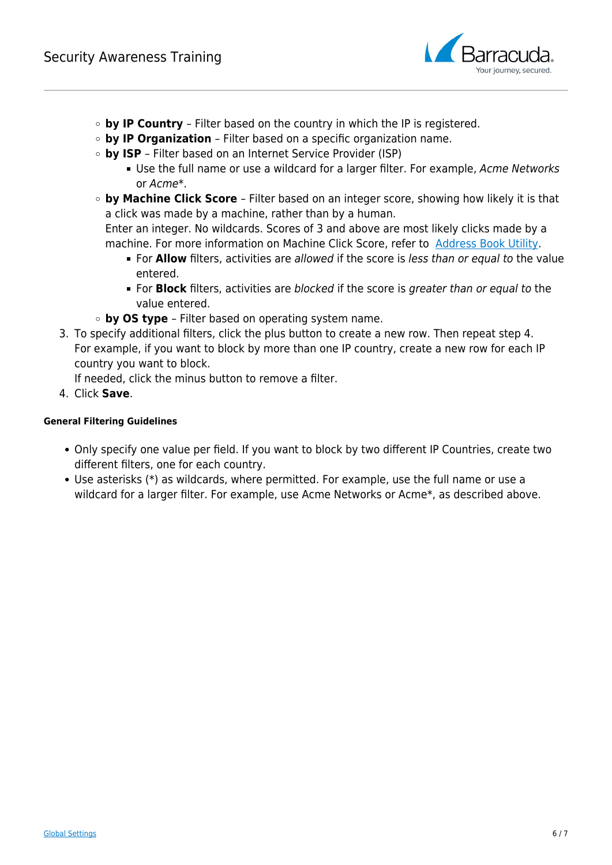

- **by IP Country**  Filter based on the country in which the IP is registered.
- **by IP Organization**  Filter based on a specific organization name.
- **by ISP**  Filter based on an Internet Service Provider (ISP)
	- **Use the full name or use a wildcard for a larger filter. For example, Acme Networks** or Acme\*.
- **by Machine Click Score**  Filter based on an integer score, showing how likely it is that a click was made by a machine, rather than by a human.

Enter an integer. No wildcards. Scores of 3 and above are most likely clicks made by a machine. For more information on Machine Click Score, refer to [Address Book Utility.](http://campus.barracuda.com/doc/77399259/)

- **For Allow** filters, activities are allowed if the score is less than or equal to the value entered.
- For **Block** filters, activities are blocked if the score is greater than or equal to the value entered.
- **by OS type**  Filter based on operating system name.
- 3. To specify additional filters, click the plus button to create a new row. Then repeat step 4. For example, if you want to block by more than one IP country, create a new row for each IP country you want to block.

If needed, click the minus button to remove a filter.

4. Click **Save**.

#### **General Filtering Guidelines**

- Only specify one value per field. If you want to block by two different IP Countries, create two different filters, one for each country.
- Use asterisks (\*) as wildcards, where permitted. For example, use the full name or use a wildcard for a larger filter. For example, use Acme Networks or Acme\*, as described above.